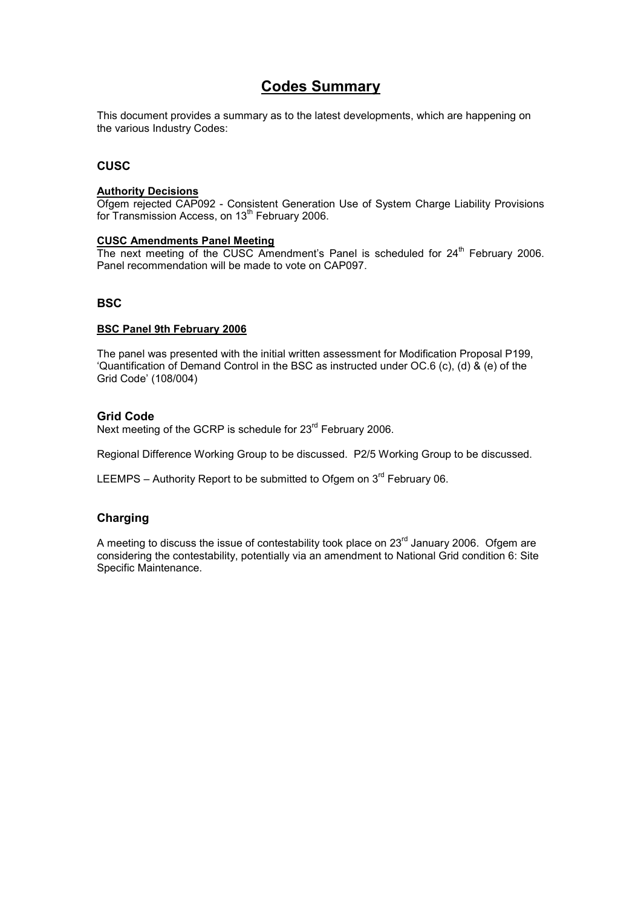### **Codes Summary**

This document provides a summary as to the latest developments, which are happening on the various Industry Codes:

### **CUSC**

#### **Authority Decisions**

Ofgem rejected CAP092 - Consistent Generation Use of System Charge Liability Provisions for Transmission Access, on 13<sup>th</sup> February 2006.

#### **CUSC Amendments Panel Meeting**

The next meeting of the CUSC Amendment's Panel is scheduled for  $24<sup>th</sup>$  February 2006. Panel recommendation will be made to vote on CAP097.

### **BSC**

### **BSC Panel 9th February 2006**

The panel was presented with the initial written assessment for Modification Proposal P199, 'Quantification of Demand Control in the BSC as instructed under OC.6 (c), (d) & (e) of the Grid Code' (108/004)

### **Grid Code**

Next meeting of the GCRP is schedule for 23<sup>rd</sup> February 2006.

Regional Difference Working Group to be discussed. P2/5 Working Group to be discussed.

LEEMPS – Authority Report to be submitted to Ofgem on  $3<sup>rd</sup>$  February 06.

### **Charging**

A meeting to discuss the issue of contestability took place on  $23<sup>rd</sup>$  January 2006. Ofgem are considering the contestability, potentially via an amendment to National Grid condition 6: Site Specific Maintenance.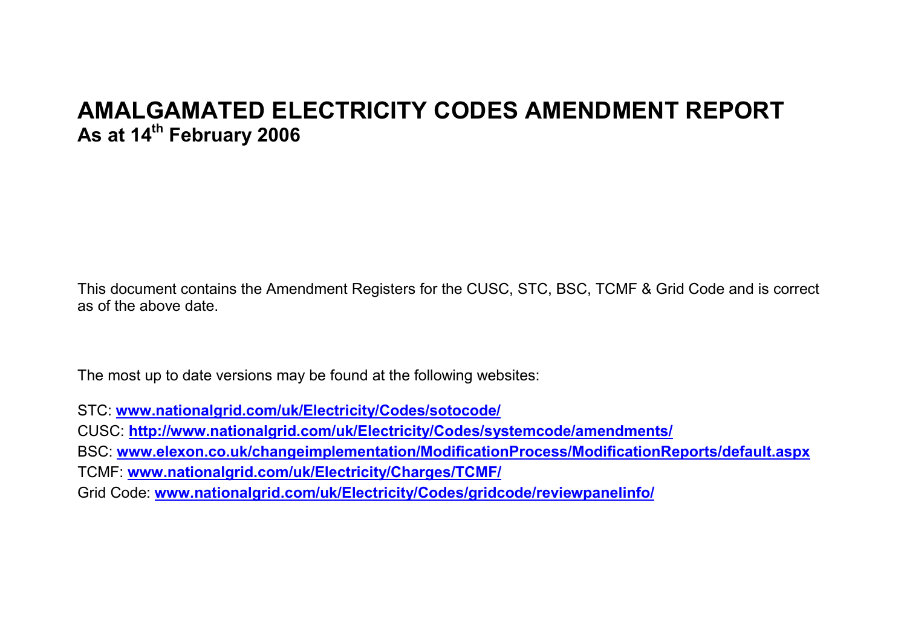# **AMALGAMATED ELECTRICITY CODES AMENDMENT REPORT As at 14th February 2006**

This document contains the Amendment Registers for the CUSC, STC, BSC, TCMF & Grid Code and is correct as of the above date.

The most up to date versions may be found at the following websites:

STC: **www.nationalgrid.com/uk/Electricity/Codes/sotocode/**

CUSC: **http://www.nationalgrid.com/uk/Electricity/Codes/systemcode/amendments/**

BSC: **www.elexon.co.uk/changeimplementation/ModificationProcess/ModificationReports/default.aspx**

TCMF: **www.nationalgrid.com/uk/Electricity/Charges/TCMF/**

Grid Code: **www.nationalgrid.com/uk/Electricity/Codes/gridcode/reviewpanelinfo/**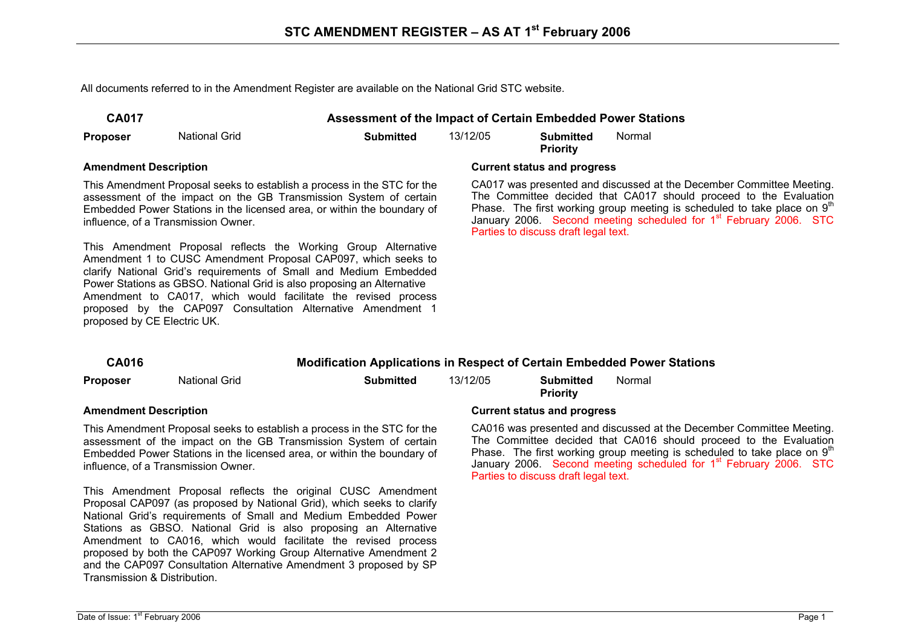All documents referred to in the Amendment Register are available on the National Grid STC website.

| . . | 40 | ◢ |  |
|-----|----|---|--|
|     |    |   |  |

**CA017 Assessment of the Impact of Certain Embedded Power Stations** 

**Proposer** National Grid **Submitted** 13/12/05 **Submitted** 

**Priority**  Normal

This Amendment Proposal seeks to establish a process in the STC for the assessment of the impact on the GB Transmission System of certain Embedded Power Stations in the licensed area, or within the boundary of influence, of a Transmission Owner.

This Amendment Proposal reflects the Working Group Alternative Amendment 1 to CUSC Amendment Proposal CAP097, which seeks to clarify National Grid's requirements of Small and Medium Embedded Power Stations as GBSO. National Grid is also proposing an Alternative Amendment to CA017, which would facilitate the revised process proposed by the CAP097 Consultation Alternative Amendment 1 proposed by CE Electric UK.

#### **Amendment Description Current status and progress**

CA017 was presented and discussed at the December Committee Meeting. The Committee decided that CA017 should proceed to the Evaluation Phase. The first working group meeting is scheduled to take place on  $9<sup>th</sup>$ January 2006. Second meeting scheduled for 1<sup>st</sup> February 2006. STC Parties to discuss draft legal text.

| <b>CA016</b>                                                            |               | <b>Modification Applications in Respect of Certain Embedded Power Stations</b> |          |                                     |                                                                                                   |
|-------------------------------------------------------------------------|---------------|--------------------------------------------------------------------------------|----------|-------------------------------------|---------------------------------------------------------------------------------------------------|
| <b>Proposer</b>                                                         | National Grid | <b>Submitted</b>                                                               | 13/12/05 | <b>Submitted</b><br><b>Priority</b> | Normal                                                                                            |
| <b>Amendment Description</b>                                            |               |                                                                                |          | <b>Current status and progress</b>  |                                                                                                   |
| This Amendment Proposal seeks to establish a process in the STC for the |               |                                                                                |          |                                     | CA016 was presented and discussed at the Decembe<br>The Committee desided that CAO1C should speak |

assessment of the impact on the GB Transmission System of certain Embedded Power Stations in the licensed area, or within the boundary of influence, of a Transmission Owner.

This Amendment Proposal reflects the original CUSC Amendment Proposal CAP097 (as proposed by National Grid), which seeks to clarify National Grid's requirements of Small and Medium Embedded Power Stations as GBSO. National Grid is also proposing an Alternative Amendment to CA016, which would facilitate the revised process proposed by both the CAP097 Working Group Alternative Amendment 2 and the CAP097 Consultation Alternative Amendment 3 proposed by SP Transmission & Distribution.

#### er Committee Meeting. The Committee decided that CA016 should proceed to the Evaluation Phase. The first working group meeting is scheduled to take place on  $9<sup>th</sup>$ January 2006. Second meeting scheduled for 1<sup>st</sup> February 2006. STC Parties to discuss draft legal text.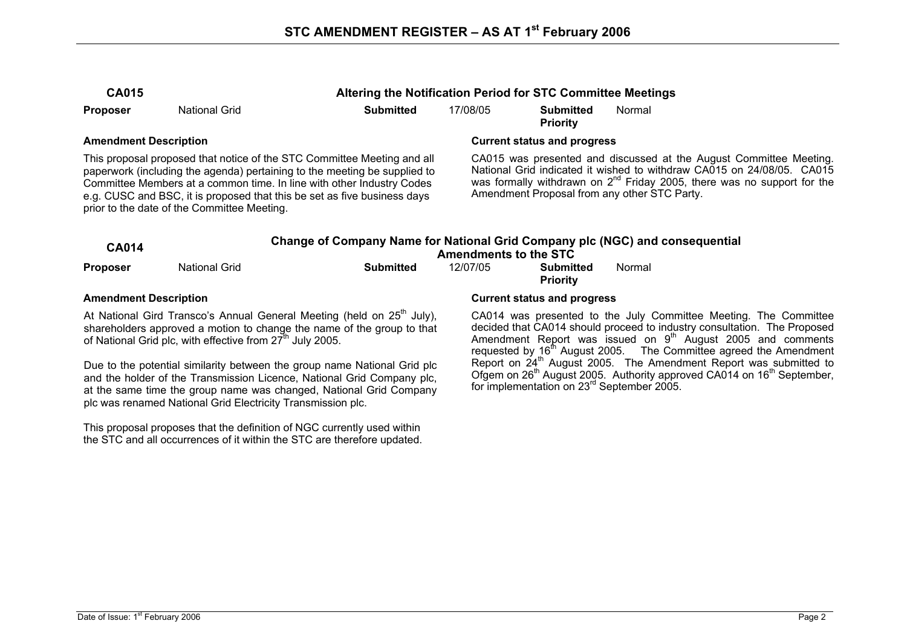| ۷<br>- | ۱۱ |  |
|--------|----|--|
|--------|----|--|

**Proposer** National Grid **Submitted** 17/08/05 **Submitted** 

**CA015 Altering the Notification Period for STC Committee Meetings** 

**Priority**  Normal

This proposal proposed that notice of the STC Committee Meeting and all paperwork (including the agenda) pertaining to the meeting be supplied to Committee Members at a common time. In line with other Industry Codes e.g. CUSC and BSC, it is proposed that this be set as five business days prior to the date of the Committee Meeting.

### **Amendment Description Current status and progress**

CA015 was presented and discussed at the August Committee Meeting. National Grid indicated it wished to withdraw CA015 on 24/08/05. CA015 was formally withdrawn on  $2^{nd}$  Friday 2005, there was no support for the Amendment Proposal from any other STC Party.

| <b>CA014</b> |               | <b>Amendments to the STC</b> | Change of Company Name for National Grid Company plc (NGC) and consequential |                              |        |
|--------------|---------------|------------------------------|------------------------------------------------------------------------------|------------------------------|--------|
| Proposer     | National Grid | Submitted                    | 12/07/05                                                                     | Submitted<br><b>Priority</b> | Normal |

At National Gird Transco's Annual General Meeting (held on  $25<sup>th</sup>$  July), shareholders approved a motion to change the name of the group to that of National Grid plc, with effective from  $27<sup>th</sup>$  July 2005.

Due to the potential similarity between the group name National Grid plc and the holder of the Transmission Licence, National Grid Company plc, at the same time the group name was changed, National Grid Company plc was renamed National Grid Electricity Transmission plc.

This proposal proposes that the definition of NGC currently used within the STC and all occurrences of it within the STC are therefore updated.

#### **Amendment Description Current status and progress**

CA014 was presented to the July Committee Meeting. The Committee decided that CA014 should proceed to industry consultation. The Proposed Amendment Report was issued on 9<sup>th</sup> August 2005 and comments requested by  $16<sup>th</sup>$  August 2005. The Committee agreed the Amendment Report on 24<sup>th</sup> August 2005. The Amendment Report was submitted to Ofgem on 26<sup>th</sup> August 2005. Authority approved CA014 on 16<sup>th</sup> September, for implementation on 23rd September 2005.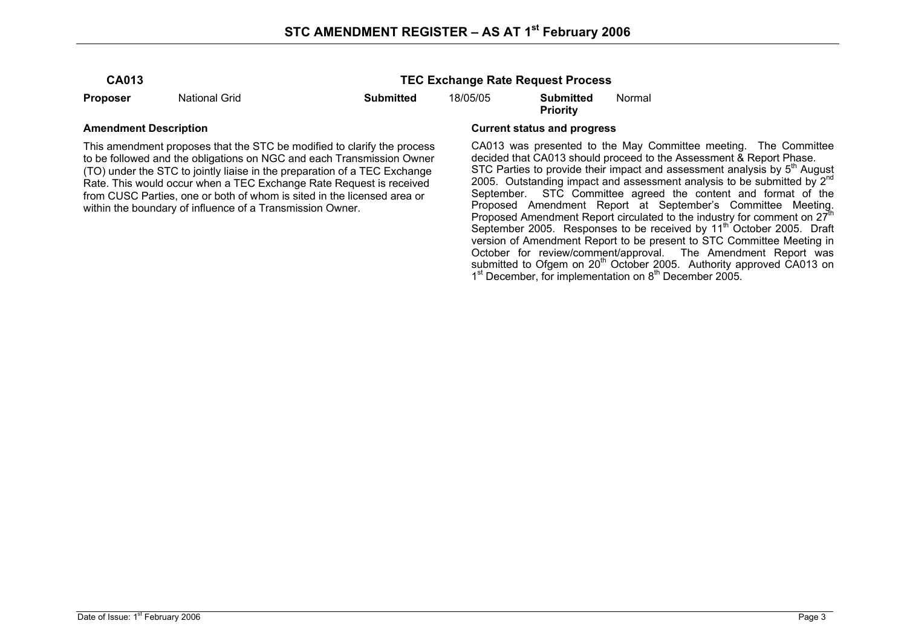**Proposer** National Grid **Submitted** 18/05/05 **Submitted** 

**Priority** 

**TEC Exchange Rate Request Process** 

This amendment proposes that the STC be modified to clarify the process to be followed and the obligations on NGC and each Transmission Owner (TO) under the STC to jointly liaise in the preparation of a TEC Exchange Rate. This would occur when a TEC Exchange Rate Request is received from CUSC Parties, one or both of whom is sited in the licensed area or within the boundary of influence of a Transmission Owner.

#### **Amendment Description Current status and progress**

CA013 was presented to the May Committee meeting. The Committee decided that CA013 should proceed to the Assessment & Report Phase. STC Parties to provide their impact and assessment analysis by  $5<sup>th</sup>$  August 2005. Outstanding impact and assessment analysis to be submitted by  $2^{nd}$ September. STC Committee agreed the content and format of the Proposed Amendment Report at September's Committee Meeting. Proposed Amendment Report circulated to the industry for comment on  $27<sup>th</sup>$ September 2005. Responses to be received by 11<sup>th</sup> October 2005. Draft version of Amendment Report to be present to STC Committee Meeting in October for review/comment/approval. The Amendment Report was submitted to Ofgem on 20<sup>th</sup> October 2005. Authority approved CA013 on  $1<sup>st</sup>$  December, for implementation on  $8<sup>th</sup>$  December 2005.

Normal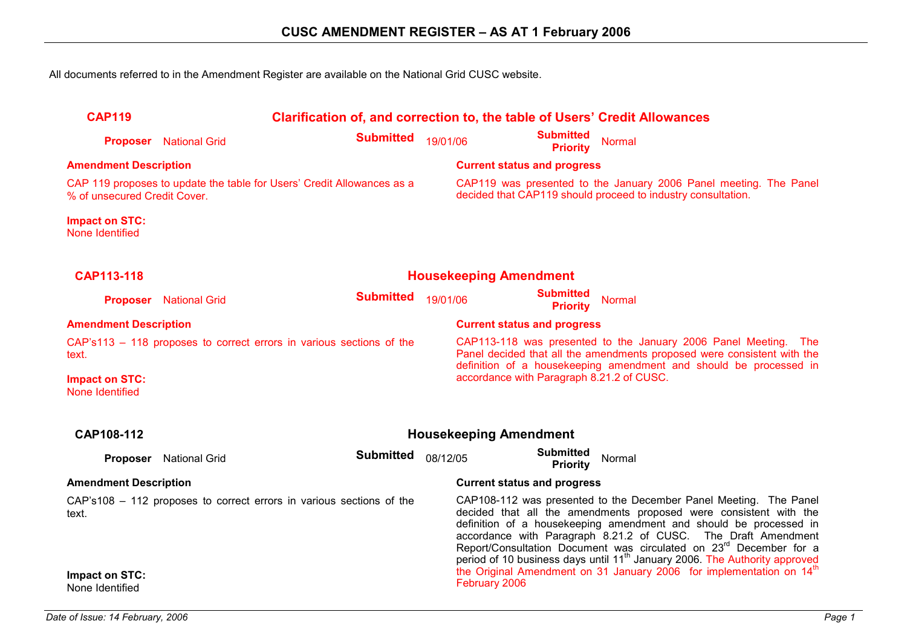All documents referred to in the Amendment Register are available on the National Grid CUSC website.

| <b>CAP119</b>                            | Clarification of, and correction to, the table of Users' Credit Allowances |                                                                        |          |                                     |                                                                                                                                   |  |
|------------------------------------------|----------------------------------------------------------------------------|------------------------------------------------------------------------|----------|-------------------------------------|-----------------------------------------------------------------------------------------------------------------------------------|--|
| <b>Proposer</b>                          | <b>National Grid</b>                                                       | <b>Submitted</b>                                                       | 19/01/06 | <b>Submitted</b><br><b>Priority</b> | <b>Normal</b>                                                                                                                     |  |
| <b>Amendment Description</b>             |                                                                            |                                                                        |          | <b>Current status and progress</b>  |                                                                                                                                   |  |
| % of unsecured Credit Cover.             |                                                                            | CAP 119 proposes to update the table for Users' Credit Allowances as a |          |                                     | CAP119 was presented to the January 2006 Panel meeting. The Panel<br>decided that CAP119 should proceed to industry consultation. |  |
| <b>Impact on STC:</b><br>None Identified |                                                                            |                                                                        |          |                                     |                                                                                                                                   |  |
| CAP113-118                               |                                                                            |                                                                        |          | <b>Housekeeping Amendment</b>       |                                                                                                                                   |  |
| <b>Proposer</b>                          | <b>National Grid</b>                                                       | <b>Submitted</b>                                                       | 19/01/06 | <b>Submitted</b><br><b>Priority</b> | <b>Normal</b>                                                                                                                     |  |

| <b>Amendment Description</b>                                          | <b>Current status and progress</b>                                      |
|-----------------------------------------------------------------------|-------------------------------------------------------------------------|
| CAP's 113 – 118 proposes to correct errors in various sections of the | CAP113-118 was presented to the January 2006 Panel Meeting. The         |
| text.                                                                 | Panel decided that all the amendments proposed were consistent with the |
| <b>Impact on STC:</b>                                                 | definition of a housekeeping amendment and should be processed in       |
| None Identified                                                       | accordance with Paragraph 8.21.2 of CUSC.                               |

| CAP108-112                        | <b>Housekeeping Amendment</b>                                         |                  |                                                                                                                                                                                                                                                                                                                                                                                                                                                          |                                                                                  |        |  |  |
|-----------------------------------|-----------------------------------------------------------------------|------------------|----------------------------------------------------------------------------------------------------------------------------------------------------------------------------------------------------------------------------------------------------------------------------------------------------------------------------------------------------------------------------------------------------------------------------------------------------------|----------------------------------------------------------------------------------|--------|--|--|
| <b>Proposer</b>                   | <b>National Grid</b>                                                  | <b>Submitted</b> | 08/12/05                                                                                                                                                                                                                                                                                                                                                                                                                                                 | <b>Submitted</b><br>Priority                                                     | Normal |  |  |
|                                   | <b>Amendment Description</b>                                          |                  |                                                                                                                                                                                                                                                                                                                                                                                                                                                          | <b>Current status and progress</b>                                               |        |  |  |
| text.                             | CAP's 108 - 112 proposes to correct errors in various sections of the |                  | CAP108-112 was presented to the December Panel Meeting. The Panel<br>decided that all the amendments proposed were consistent with the<br>definition of a housekeeping amendment and should be processed in<br>accordance with Paragraph 8.21.2 of CUSC. The Draft Amendment<br>Report/Consultation Document was circulated on 23 <sup>rd</sup> December for a<br>period of 10 business days until 11 <sup>th</sup> January 2006. The Authority approved |                                                                                  |        |  |  |
| Impact on STC:<br>None Identified |                                                                       |                  | February 2006                                                                                                                                                                                                                                                                                                                                                                                                                                            | the Original Amendment on 31 January 2006 for implementation on 14 <sup>th</sup> |        |  |  |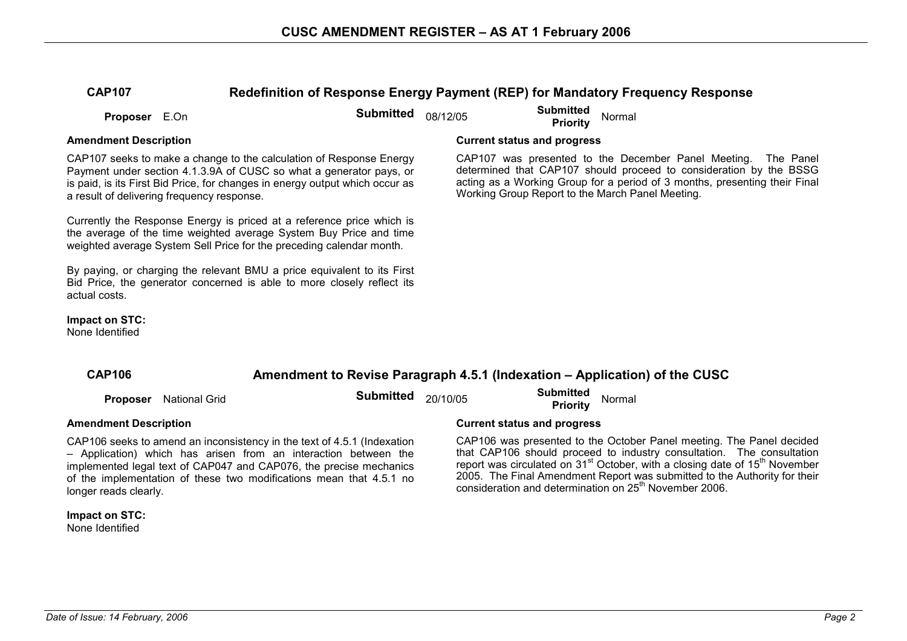### **CAP107 Redefinition of Response Energy Payment (REP) for Mandatory Frequency Response**

**Proposer** E.On **Submitted** 08/12/05 **Submitted Proposer** E.On

CAP107 seeks to make a change to the calculation of Response Energy Payment under section 4.1.3.9A of CUSC so what a generator pays, or is paid, is its First Bid Price, for changes in energy output which occur as a result of delivering frequency response.

Currently the Response Energy is priced at a reference price which is the average of the time weighted average System Buy Price and time weighted average System Sell Price for the preceding calendar month.

By paying, or charging the relevant BMU a price equivalent to its First Bid Price, the generator concerned is able to more closely reflect its actual costs.

**Impact on STC:** 

None Identified

#### **Amendment Description Current status and progress**

CAP107 was presented to the December Panel Meeting. The Panel determined that CAP107 should proceed to consideration by the BSSG acting as a Working Group for a period of 3 months, presenting their Final Working Group Report to the March Panel Meeting.

# **CAP106 Amendment to Revise Paragraph 4.5.1 (Indexation – Application) of the CUSC Proposer** National Grid **Submitted** 20/10/05 **Submitted Priority** Normal **Amendment Description Current status and progress**

CAP106 seeks to amend an inconsistency in the text of 4.5.1 (Indexation – Application) which has arisen from an interaction between the implemented legal text of CAP047 and CAP076, the precise mechanics of the implementation of these two modifications mean that 4.5.1 no longer reads clearly.

#### **Impact on STC:**  None Identified

CAP106 was presented to the October Panel meeting. The Panel decided that CAP106 should proceed to industry consultation. The consultation report was circulated on 31<sup>st</sup> October, with a closing date of 15<sup>th</sup> November 2005. The Final Amendment Report was submitted to the Authority for their consideration and determination on 25<sup>th</sup> November 2006.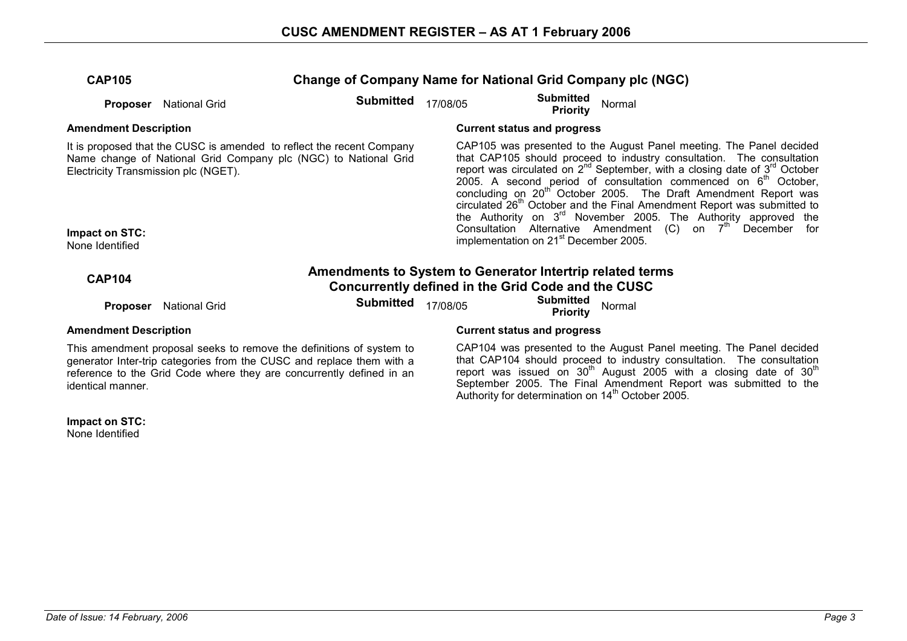| <b>CAP105</b>                                                             |                      | <b>Change of Company Name for National Grid Company plc (NGC)</b>                                                                             |          |                                                    |        |                                                                                                                                                                                                                                                                                                                                                                                                                                                                                                                                                                                                                                        |
|---------------------------------------------------------------------------|----------------------|-----------------------------------------------------------------------------------------------------------------------------------------------|----------|----------------------------------------------------|--------|----------------------------------------------------------------------------------------------------------------------------------------------------------------------------------------------------------------------------------------------------------------------------------------------------------------------------------------------------------------------------------------------------------------------------------------------------------------------------------------------------------------------------------------------------------------------------------------------------------------------------------------|
| Proposer                                                                  | <b>National Grid</b> | <b>Submitted</b>                                                                                                                              | 17/08/05 | <b>Submitted</b><br><b>Priority</b>                | Normal |                                                                                                                                                                                                                                                                                                                                                                                                                                                                                                                                                                                                                                        |
| <b>Amendment Description</b>                                              |                      |                                                                                                                                               |          | <b>Current status and progress</b>                 |        |                                                                                                                                                                                                                                                                                                                                                                                                                                                                                                                                                                                                                                        |
| Electricity Transmission plc (NGET).<br>Impact on STC:<br>None Identified |                      | It is proposed that the CUSC is amended to reflect the recent Company<br>Name change of National Grid Company plc (NGC) to National Grid      |          | implementation on 21 <sup>st</sup> December 2005.  |        | CAP105 was presented to the August Panel meeting. The Panel decided<br>that CAP105 should proceed to industry consultation. The consultation<br>report was circulated on $2^{nd}$ September, with a closing date of $3^{rd}$ October<br>2005. A second period of consultation commenced on $6m$ October,<br>concluding on 20 <sup>th</sup> October 2005. The Draft Amendment Report was<br>circulated 26 <sup>th</sup> October and the Final Amendment Report was submitted to<br>the Authority on 3 <sup>rd</sup> November 2005. The Authority approved the<br>Consultation Alternative Amendment (C) on 7 <sup>th</sup> December for |
|                                                                           |                      |                                                                                                                                               |          |                                                    |        |                                                                                                                                                                                                                                                                                                                                                                                                                                                                                                                                                                                                                                        |
| <b>CAP104</b>                                                             |                      | Amendments to System to Generator Intertrip related terms                                                                                     |          | Concurrently defined in the Grid Code and the CUSC |        |                                                                                                                                                                                                                                                                                                                                                                                                                                                                                                                                                                                                                                        |
| <b>Proposer</b>                                                           | <b>National Grid</b> | <b>Submitted</b>                                                                                                                              | 17/08/05 | <b>Submitted</b><br><b>Priority</b>                | Normal |                                                                                                                                                                                                                                                                                                                                                                                                                                                                                                                                                                                                                                        |
| <b>Amendment Description</b>                                              |                      |                                                                                                                                               |          | <b>Current status and progress</b>                 |        |                                                                                                                                                                                                                                                                                                                                                                                                                                                                                                                                                                                                                                        |
|                                                                           |                      | This amendment proposal seeks to remove the definitions of system to<br>generator Inter-trip categories from the CUSC and replace them with a |          |                                                    |        | CAP104 was presented to the August Panel meeting. The Panel decided<br>that CAP104 should proceed to industry consultation. The consultation                                                                                                                                                                                                                                                                                                                                                                                                                                                                                           |

generator Inter-trip categories from the CUSC and replace them with a reference to the Grid Code where they are concurrently defined in an identical manner.

that CAP104 should proceed to industry consultation. The consultation report was issued on 30<sup>th</sup> August 2005 with a closing date of 30<sup>th</sup> September 2005. The Final Amendment Report was submitted to the Authority for determination on 14<sup>th</sup> October 2005.

**Impact on STC:**  None Identified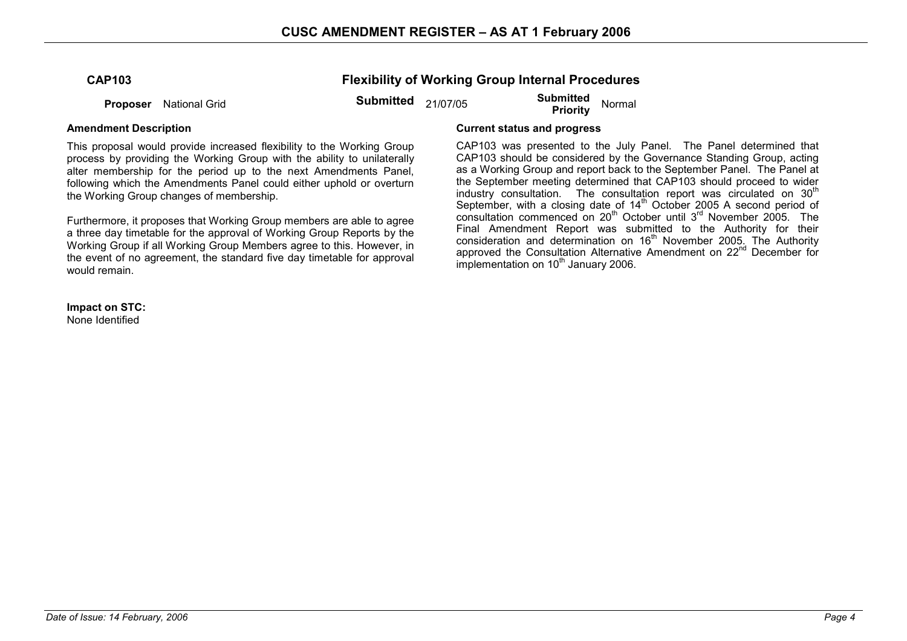| <b>CAP103</b> |  |
|---------------|--|
|---------------|--|

### **Flexibility of Working Group Internal Procedures**

**Proposer** National Grid **Submitted** 21/07/05 **Submitted Proposer** National Grid

This proposal would provide increased flexibility to the Working Group process by providing the Working Group with the ability to unilaterally alter membership for the period up to the next Amendments Panel, following which the Amendments Panel could either uphold or overturn the Working Group changes of membership.

Furthermore, it proposes that Working Group members are able to agree a three day timetable for the approval of Working Group Reports by the Working Group if all Working Group Members agree to this. However, in the event of no agreement, the standard five day timetable for approval would remain.

**Impact on STC:**  None Identified

#### **Amendment Description Current status and progress**

CAP103 was presented to the July Panel. The Panel determined that CAP103 should be considered by the Governance Standing Group, acting as a Working Group and report back to the September Panel. The Panel at the September meeting determined that CAP103 should proceed to wider industry consultation. The consultation report was circulated on  $30<sup>th</sup>$ September, with a closing date of  $14<sup>th</sup>$  October 2005 A second period of consultation commenced on 20<sup>th</sup> October until 3<sup>rd</sup> November 2005. The Final Amendment Report was submitted to the Authority for their consideration and determination on  $16<sup>th</sup>$  November 2005. The Authority approved the Consultation Alternative Amendment on 22<sup>nd</sup> December for  $\frac{1}{2}$  implementation on 10<sup>th</sup> January 2006.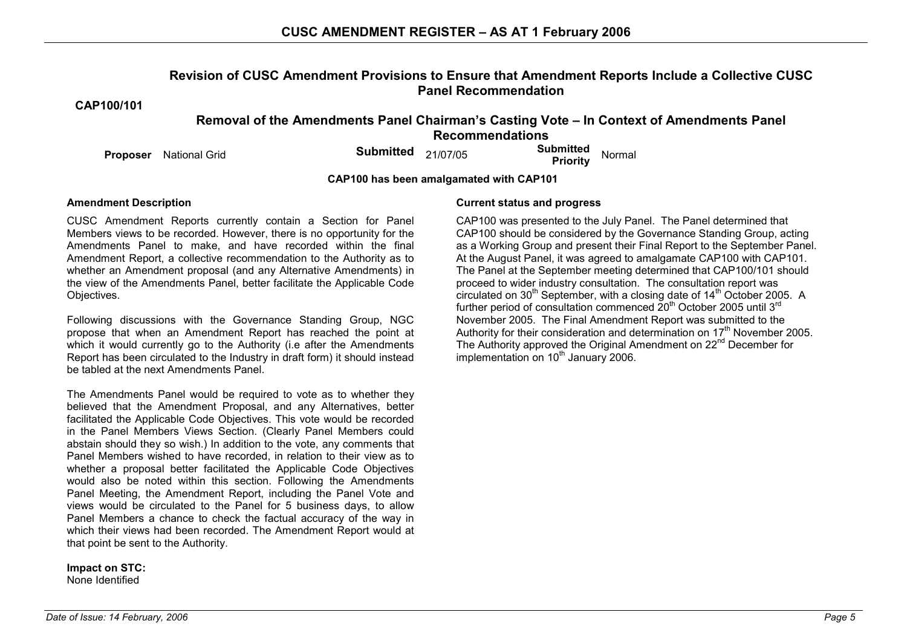### **Revision of CUSC Amendment Provisions to Ensure that Amendment Reports Include a Collective CUSC Panel Recommendation**

**CAP100/101** 

### **Removal of the Amendments Panel Chairman's Casting Vote – In Context of Amendments Panel Recommendations**

**Proposer** National Grid **Submitted** 21/07/05 **Submitted Priority** Normal

**CAP100 has been amalgamated with CAP101** 

CUSC Amendment Reports currently contain a Section for Panel Members views to be recorded. However, there is no opportunity for the Amendments Panel to make, and have recorded within the final Amendment Report, a collective recommendation to the Authority as to whether an Amendment proposal (and any Alternative Amendments) in the view of the Amendments Panel, better facilitate the Applicable Code Objectives.

Following discussions with the Governance Standing Group, NGC propose that when an Amendment Report has reached the point at which it would currently go to the Authority (i.e after the Amendments Report has been circulated to the Industry in draft form) it should instead be tabled at the next Amendments Panel.

The Amendments Panel would be required to vote as to whether they believed that the Amendment Proposal, and any Alternatives, better facilitated the Applicable Code Objectives. This vote would be recorded in the Panel Members Views Section. (Clearly Panel Members could abstain should they so wish.) In addition to the vote, any comments that Panel Members wished to have recorded, in relation to their view as to whether a proposal better facilitated the Applicable Code Objectives would also be noted within this section. Following the Amendments Panel Meeting, the Amendment Report, including the Panel Vote and views would be circulated to the Panel for 5 business days, to allow Panel Members a chance to check the factual accuracy of the way in which their views had been recorded. The Amendment Report would at that point be sent to the Authority.

**Impact on STC:**  None Identified

### **Amendment Description Current status and progress**

 CAP100 was presented to the July Panel. The Panel determined that CAP100 should be considered by the Governance Standing Group, acting as a Working Group and present their Final Report to the September Panel. At the August Panel, it was agreed to amalgamate CAP100 with CAP101. The Panel at the September meeting determined that CAP100/101 should proceed to wider industry consultation. The consultation report was circulated on  $30<sup>th</sup>$  September, with a closing date of  $14<sup>th</sup>$  October 2005. A further period of consultation commenced  $\tilde{20}^{th}$  October 2005 until 3<sup>rd</sup> November 2005. The Final Amendment Report was submitted to the Authority for their consideration and determination on  $17<sup>th</sup>$  November 2005. The Authority approved the Original Amendment on 22<sup>nd</sup> December for  $implementation$  on 10<sup>th</sup> January 2006.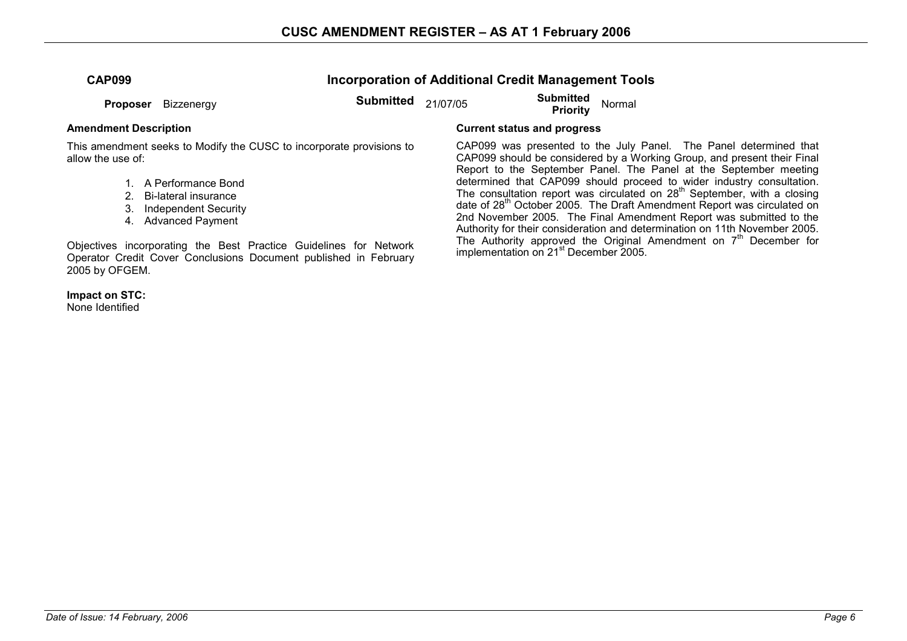**Incorporation of Additional Credit Management Tools** 

**Proposer** Bizzenergy **Submitted** 21/07/05 **Submitted Proposer** Bizzenergy **Submitted** 21/07/05 **Submitted** Priority

This amendment seeks to Modify the CUSC to incorporate provisions to allow the use of:

- 1. A Performance Bond
- 2. Bi-lateral insurance
- 3. Independent Security
- 4. Advanced Payment

Objectives incorporating the Best Practice Guidelines for Network Operator Credit Cover Conclusions Document published in February 2005 by OFGEM.

**Impact on STC:**  None Identified

### **Amendment Description Current status and progress**

CAP099 was presented to the July Panel. The Panel determined that CAP099 should be considered by a Working Group, and present their Final Report to the September Panel. The Panel at the September meeting determined that CAP099 should proceed to wider industry consultation. The consultation report was circulated on  $28<sup>th</sup>$  September, with a closing date of 28<sup>th</sup> October 2005. The Draft Amendment Report was circulated on 2nd November 2005. The Final Amendment Report was submitted to the Authority for their consideration and determination on 11th November 2005. The Authority approved the Original Amendment on  $7<sup>th</sup>$  December for implementation on 21st December 2005.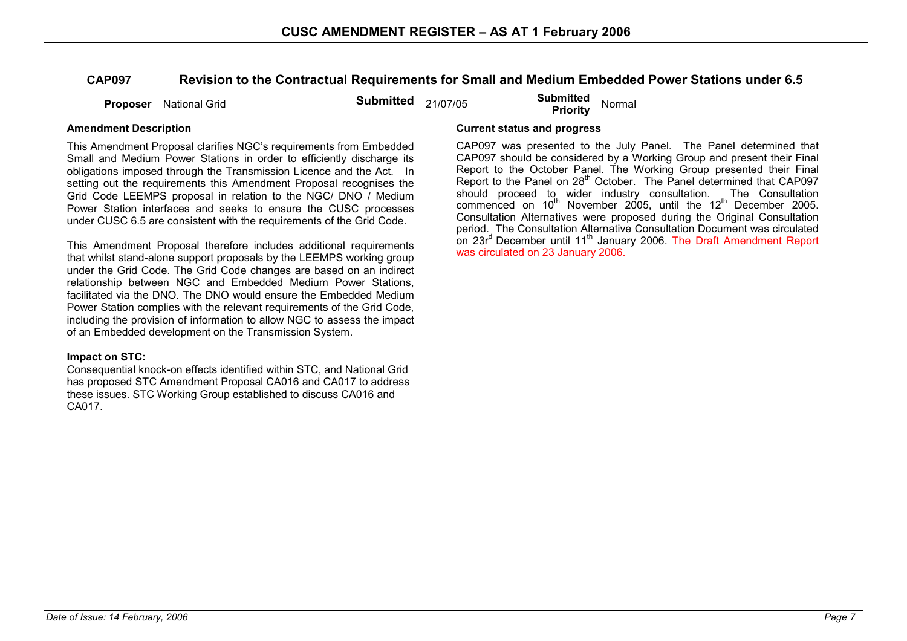### **CAP097 Revision to the Contractual Requirements for Small and Medium Embedded Power Stations under 6.5**

**Proposer** National Grid **Submitted** 21/07/05 **Submitted Proposer** National Grid

This Amendment Proposal clarifies NGC's requirements from Embedded Small and Medium Power Stations in order to efficiently discharge its obligations imposed through the Transmission Licence and the Act. In setting out the requirements this Amendment Proposal recognises the Grid Code LEEMPS proposal in relation to the NGC/ DNO / Medium Power Station interfaces and seeks to ensure the CUSC processes under CUSC 6.5 are consistent with the requirements of the Grid Code.

This Amendment Proposal therefore includes additional requirements that whilst stand-alone support proposals by the LEEMPS working group under the Grid Code. The Grid Code changes are based on an indirect relationship between NGC and Embedded Medium Power Stations, facilitated via the DNO. The DNO would ensure the Embedded Medium Power Station complies with the relevant requirements of the Grid Code, including the provision of information to allow NGC to assess the impact of an Embedded development on the Transmission System.

#### **Impact on STC:**

Consequential knock-on effects identified within STC, and National Grid has proposed STC Amendment Proposal CA016 and CA017 to address these issues. STC Working Group established to discuss CA016 and CA017.

#### **Amendment Description Current status and progress**

CAP097 was presented to the July Panel. The Panel determined that CAP097 should be considered by a Working Group and present their Final Report to the October Panel. The Working Group presented their Final Report to the Panel on 28<sup>th</sup> October. The Panel determined that CAP097 should proceed to wider industry consultation. The Consultation commenced on  $10^{th}$  November 2005, until the  $12^{th}$  December 2005. Consultation Alternatives were proposed during the Original Consultation period. The Consultation Alternative Consultation Document was circulated on 23r<sup>d</sup> December until 11<sup>th</sup> January 2006. The Draft Amendment Report was circulated on 23 January 2006.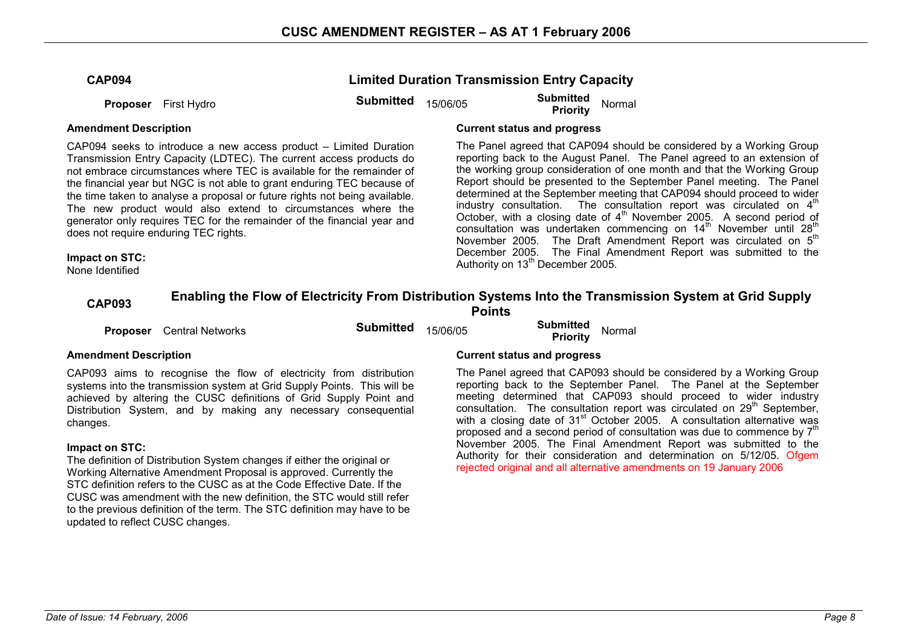### **Limited Duration Transmission Entry Capacity**

**Proposer** First Hydro **Submitted** 15/06/05 **Submitted Proposer** First Hydro **Submitted Submitted Priority** Normal

#### **Amendment Description Current status and progress**

CAP094 seeks to introduce a new access product – Limited Duration Transmission Entry Capacity (LDTEC). The current access products do not embrace circumstances where TEC is available for the remainder of the financial year but NGC is not able to grant enduring TEC because of the time taken to analyse a proposal or future rights not being available. The new product would also extend to circumstances where the generator only requires TEC for the remainder of the financial year and does not require enduring TEC rights.

The Panel agreed that CAP094 should be considered by a Working Group reporting back to the August Panel. The Panel agreed to an extension of the working group consideration of one month and that the Working Group Report should be presented to the September Panel meeting. The Panel determined at the September meeting that CAP094 should proceed to wider industry consultation. The consultation report was circulated on  $4<sup>th</sup>$ October, with a closing date of  $4<sup>th</sup>$  November 2005. A second period of consultation was undertaken commencing on  $14<sup>th</sup>$  November until  $28<sup>th</sup>$ November 2005. The Draft Amendment Report was circulated on 5<sup>th</sup> December 2005. The Final Amendment Report was submitted to the Authority on 13<sup>th</sup> December 2005.

#### **Impact on STC:**

None Identified

# **CAP093 Enabling the Flow of Electricity From Distribution Systems Into the Transmission System at Grid Supply Points**

**Proposer** Central Networks **Submitted** 15/06/05 **Submitted Priority** Normal

CAP093 aims to recognise the flow of electricity from distribution systems into the transmission system at Grid Supply Points. This will be achieved by altering the CUSC definitions of Grid Supply Point and Distribution System, and by making any necessary consequential changes.

#### **Impact on STC:**

The definition of Distribution System changes if either the original or Working Alternative Amendment Proposal is approved. Currently the STC definition refers to the CUSC as at the Code Effective Date. If the CUSC was amendment with the new definition, the STC would still refer to the previous definition of the term. The STC definition may have to be updated to reflect CUSC changes.

#### **Amendment Description Current status and progress**

The Panel agreed that CAP093 should be considered by a Working Group reporting back to the September Panel. The Panel at the September meeting determined that CAP093 should proceed to wider industry consultation. The consultation report was circulated on 29<sup>th</sup> September, with a closing date of 31<sup>st</sup> October 2005. A consultation alternative was proposed and a second period of consultation was due to commence by  $7<sup>th</sup>$ November 2005. The Final Amendment Report was submitted to the Authority for their consideration and determination on 5/12/05. Ofgem rejected original and all alternative amendments on 19 January 2006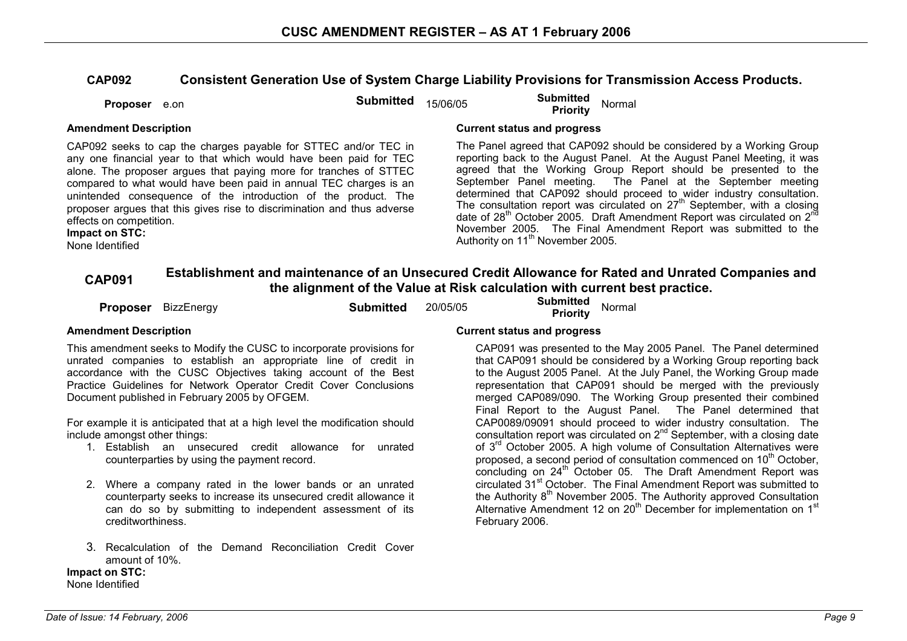### **CAP092 Consistent Generation Use of System Charge Liability Provisions for Transmission Access Products.**

| Proposer e.on | Submitted $15/06/05$ | <b>Submitted</b> | Normal |
|---------------|----------------------|------------------|--------|
|               |                      | Priority         |        |

**Impact on STC:**  None Identified

CAP092 seeks to cap the charges payable for STTEC and/or TEC in any one financial year to that which would have been paid for TEC alone. The proposer argues that paying more for tranches of STTEC compared to what would have been paid in annual TEC charges is an unintended consequence of the introduction of the product. The proposer argues that this gives rise to discrimination and thus adverse effects on competition.

### **Amendment Description Current status and progress**

The Panel agreed that CAP092 should be considered by a Working Group reporting back to the August Panel. At the August Panel Meeting, it was agreed that the Working Group Report should be presented to the September Panel meeting. The Panel at the September meeting determined that CAP092 should proceed to wider industry consultation. The consultation report was circulated on  $27<sup>th</sup>$  September, with a closing date of 28<sup>th</sup> October 2005. Draft Amendment Report was circulated on 2<sup>nd</sup> November 2005. The Final Amendment Report was submitted to the Authority on 11<sup>th</sup> November 2005.

# **CAP091 Establishment and maintenance of an Unsecured Credit Allowance for Rated and Unrated Companies and the alignment of the Value at Risk calculation with current best practice.**

| <b>Submitted</b> | 20/05/05 | <b>Submitted</b> Normal<br><b>Priority</b> |
|------------------|----------|--------------------------------------------|
|                  |          |                                            |

This amendment seeks to Modify the CUSC to incorporate provisions for unrated companies to establish an appropriate line of credit in accordance with the CUSC Objectives taking account of the Best Practice Guidelines for Network Operator Credit Cover Conclusions Document published in February 2005 by OFGEM.

For example it is anticipated that at a high level the modification should include amongst other things:

- 1. Establish an unsecured credit allowance for unrated counterparties by using the payment record.
- 2. Where a company rated in the lower bands or an unrated counterparty seeks to increase its unsecured credit allowance it can do so by submitting to independent assessment of its creditworthiness.
- 3. Recalculation of the Demand Reconciliation Credit Cover amount of 10%.

**Impact on STC:**  None Identified

### **Amendment Description Current status and progress**

 CAP091 was presented to the May 2005 Panel. The Panel determined that CAP091 should be considered by a Working Group reporting back to the August 2005 Panel. At the July Panel, the Working Group made representation that CAP091 should be merged with the previously merged CAP089/090. The Working Group presented their combined Final Report to the August Panel. The Panel determined that CAP0089/09091 should proceed to wider industry consultation. The consultation report was circulated on 2<sup>nd</sup> September, with a closing date of 3<sup>rd</sup> October 2005. A high volume of Consultation Alternatives were proposed, a second period of consultation commenced on 10<sup>th</sup> October, concluding on 24<sup>th</sup> October 05. The Draft Amendment Report was circulated 31<sup>st</sup> October. The Final Amendment Report was submitted to the Authority 8<sup>th</sup> November 2005. The Authority approved Consultation Alternative Amendment 12 on 20<sup>th</sup> December for implementation on 1<sup>st</sup> February 2006.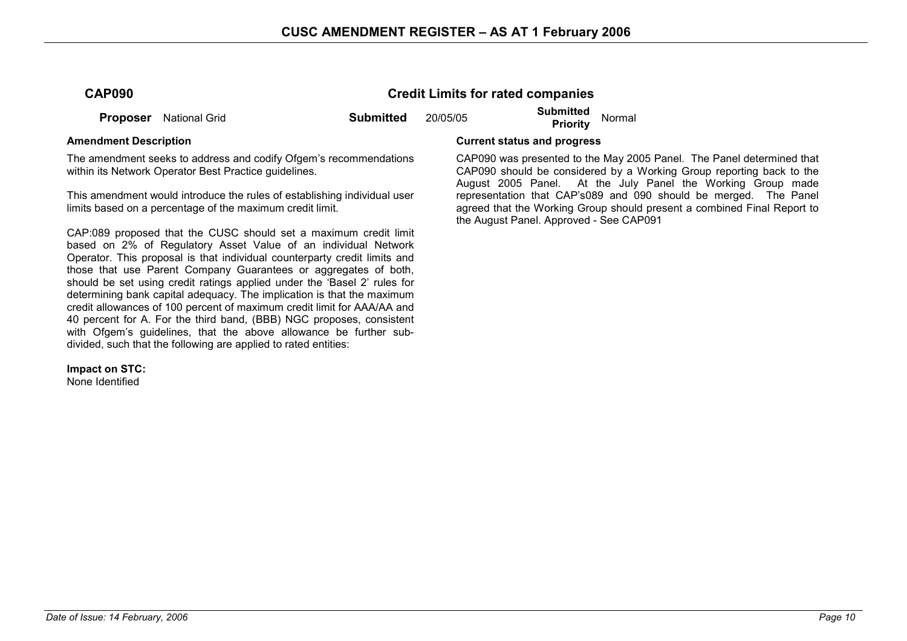### **CAP090 Credit Limits for rated companies**

**Proposer** National Grid **Submitted** 20/05/05 **Submitted Priority** Normal

The amendment seeks to address and codify Ofgem's recommendations within its Network Operator Best Practice guidelines.

This amendment would introduce the rules of establishing individual user limits based on a percentage of the maximum credit limit.

CAP:089 proposed that the CUSC should set a maximum credit limit based on 2% of Regulatory Asset Value of an individual Network Operator. This proposal is that individual counterparty credit limits and those that use Parent Company Guarantees or aggregates of both, should be set using credit ratings applied under the 'Basel 2' rules for determining bank capital adequacy. The implication is that the maximum credit allowances of 100 percent of maximum credit limit for AAA/AA and 40 percent for A. For the third band, (BBB) NGC proposes, consistent with Ofgem's guidelines, that the above allowance be further subdivided, such that the following are applied to rated entities:

**Impact on STC:** 

None Identified

#### **Amendment Description Current status and progress**

 CAP090 was presented to the May 2005 Panel. The Panel determined that CAP090 should be considered by a Working Group reporting back to the August 2005 Panel. At the July Panel the Working Group made representation that CAP's089 and 090 should be merged. The Panel agreed that the Working Group should present a combined Final Report to the August Panel. Approved - See CAP091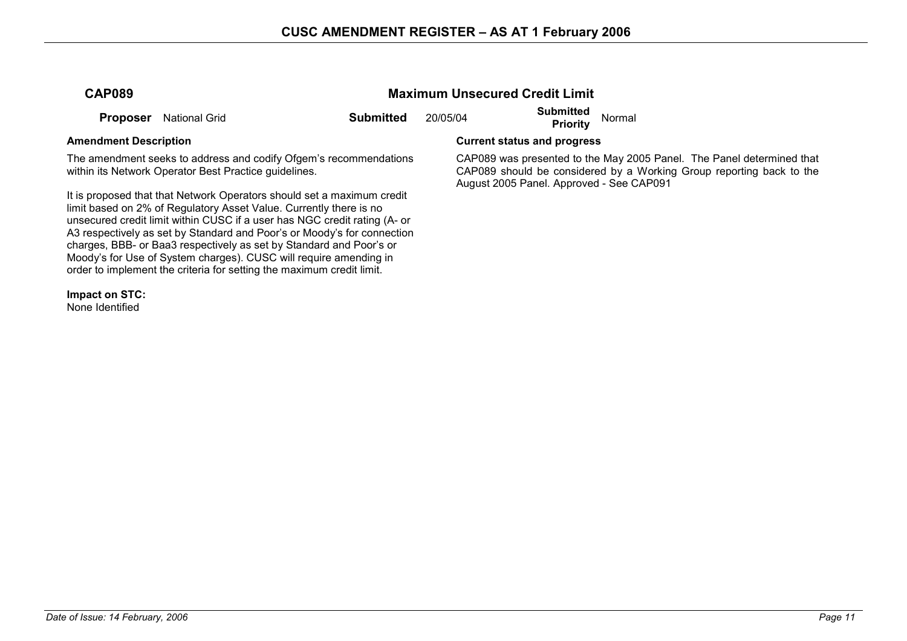**Maximum Unsecured Credit Limit** 

| <b>CAP089</b> |  |
|---------------|--|
|---------------|--|

**Proposer** National Grid **Submitted** 20/05/04 **Submitted Priority** Normal

The amendment seeks to address and codify Ofgem's recommendations within its Network Operator Best Practice guidelines.

It is proposed that that Network Operators should set a maximum credit limit based on 2% of Regulatory Asset Value. Currently there is no unsecured credit limit within CUSC if a user has NGC credit rating (A- or A3 respectively as set by Standard and Poor's or Moody's for connection charges, BBB- or Baa3 respectively as set by Standard and Poor's or Moody's for Use of System charges). CUSC will require amending in order to implement the criteria for setting the maximum credit limit.

**Impact on STC:** 

None Identified

**Amendment Description Current status and progress** 

 CAP089 was presented to the May 2005 Panel. The Panel determined that CAP089 should be considered by a Working Group reporting back to the August 2005 Panel. Approved - See CAP091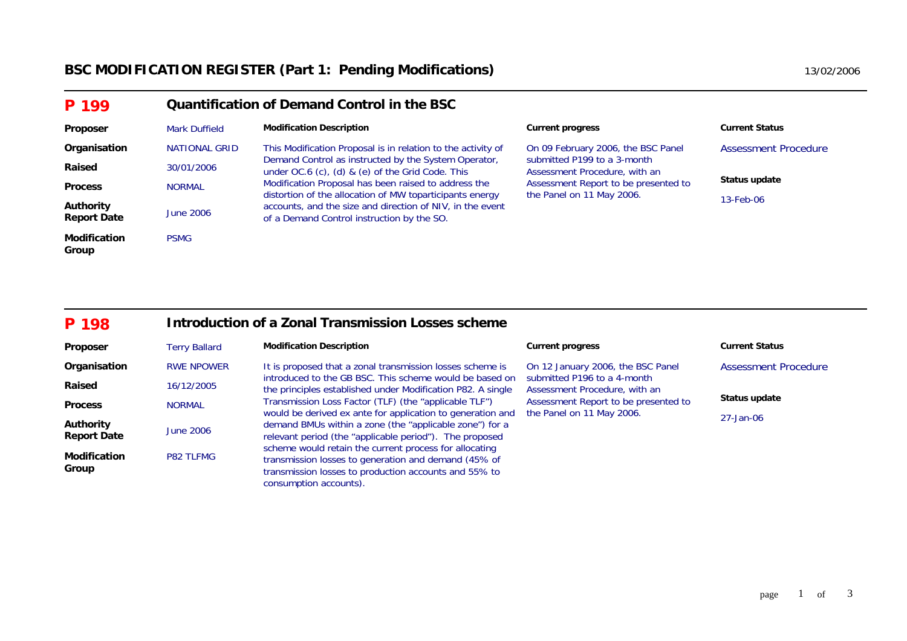## BSC MODIFICATION REGISTER (Part 1: Pending Modifications) **13/02/2006** 13/02/2006

| P 199                           |                      | <b>Quantification of Demand Control in the BSC</b>                                                               |                                                                   |                       |  |
|---------------------------------|----------------------|------------------------------------------------------------------------------------------------------------------|-------------------------------------------------------------------|-----------------------|--|
| Proposer                        | <b>Mark Duffield</b> | <b>Modification Description</b>                                                                                  | <b>Current progress</b>                                           | <b>Current Status</b> |  |
| Organisation                    | <b>NATIONAL GRID</b> | This Modification Proposal is in relation to the activity of                                                     | On 09 February 2006, the BSC Panel                                | Assessment Procedure  |  |
| Raised                          | 30/01/2006           | Demand Control as instructed by the System Operator,<br>under OC.6 (c), (d) & (e) of the Grid Code. This         | submitted P199 to a 3-month<br>Assessment Procedure, with an      |                       |  |
| <b>Process</b>                  | <b>NORMAL</b>        | Modification Proposal has been raised to address the<br>distortion of the allocation of MW toparticipants energy | Assessment Report to be presented to<br>the Panel on 11 May 2006. | Status update         |  |
| Authority<br><b>Report Date</b> | June 2006            | accounts, and the size and direction of NIV, in the event<br>of a Demand Control instruction by the SO.          |                                                                   | 13-Feb-06             |  |
| <b>Modification</b><br>Group    | <b>PSMG</b>          |                                                                                                                  |                                                                   |                       |  |

#### **P 198Introduction of a Zonal Transmission Losses scheme**

| Proposer                        | <b>Terry Ballard</b> | <b>Modification Description</b>                                                                                                                                                                   | <b>Current progress</b>                                           | <b>Current Status</b> |
|---------------------------------|----------------------|---------------------------------------------------------------------------------------------------------------------------------------------------------------------------------------------------|-------------------------------------------------------------------|-----------------------|
| Organisation                    | <b>RWE NPOWER</b>    | It is proposed that a zonal transmission losses scheme is                                                                                                                                         | On 12 January 2006, the BSC Panel                                 | Assessment Procedure  |
| Raised                          | 16/12/2005           | introduced to the GB BSC. This scheme would be based on<br>the principles established under Modification P82. A single                                                                            | submitted P196 to a 4-month<br>Assessment Procedure, with an      |                       |
| <b>Process</b>                  | <b>NORMAL</b>        | Transmission Loss Factor (TLF) (the "applicable TLF")<br>would be derived ex ante for application to generation and                                                                               | Assessment Report to be presented to<br>the Panel on 11 May 2006. | Status update         |
| Authority<br><b>Report Date</b> | <b>June 2006</b>     | demand BMUs within a zone (the "applicable zone") for a<br>relevant period (the "applicable period"). The proposed                                                                                |                                                                   | 27-Jan-06             |
| <b>Modification</b><br>Group    | <b>P82 TLFMG</b>     | scheme would retain the current process for allocating<br>transmission losses to generation and demand (45% of<br>transmission losses to production accounts and 55% to<br>consumption accounts). |                                                                   |                       |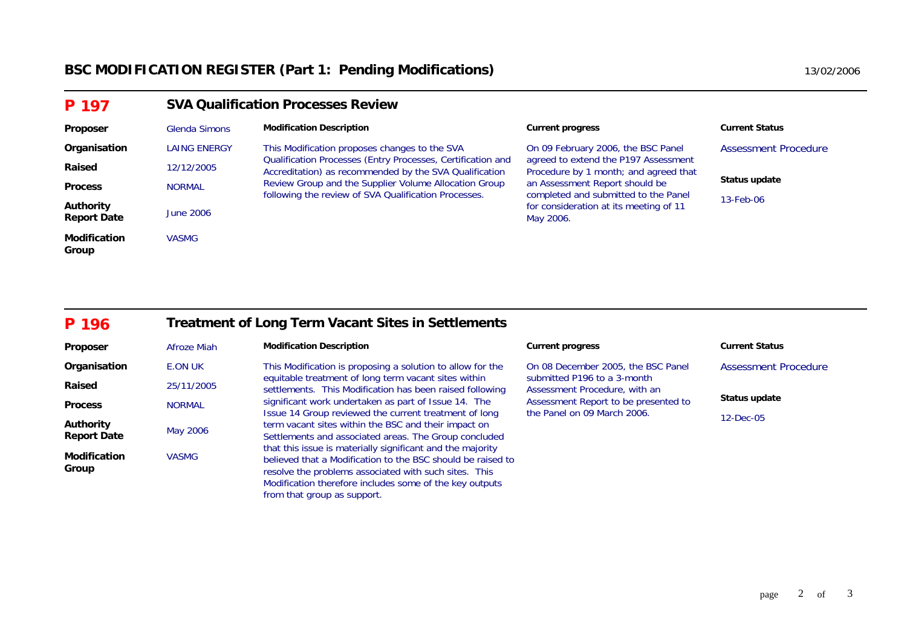| P 197                           |                  | <b>SVA Qualification Processes Review</b>                                                                             |                                                                               |                             |  |
|---------------------------------|------------------|-----------------------------------------------------------------------------------------------------------------------|-------------------------------------------------------------------------------|-----------------------------|--|
| Proposer                        | Glenda Simons    | <b>Modification Description</b>                                                                                       | <b>Current progress</b>                                                       | <b>Current Status</b>       |  |
| Organisation                    | LAING ENERGY     | This Modification proposes changes to the SVA                                                                         | On 09 February 2006, the BSC Panel                                            | <b>Assessment Procedure</b> |  |
| Raised                          | 12/12/2005       | Qualification Processes (Entry Processes, Certification and<br>Accreditation) as recommended by the SVA Qualification | agreed to extend the P197 Assessment<br>Procedure by 1 month; and agreed that |                             |  |
| <b>Process</b>                  | <b>NORMAL</b>    | Review Group and the Supplier Volume Allocation Group<br>following the review of SVA Qualification Processes.         | an Assessment Report should be<br>completed and submitted to the Panel        | Status update               |  |
| Authority<br><b>Report Date</b> | <b>June 2006</b> |                                                                                                                       | for consideration at its meeting of 11<br>May 2006.                           | 13-Feb-06                   |  |
| <b>Modification</b><br>Group    | <b>VASMG</b>     |                                                                                                                       |                                                                               |                             |  |

#### **P 196Treatment of Long Term Vacant Sites in Settlements**

| <b>Proposer</b>                        | Afroze Miah   | <b>Modification Description</b>                                                                                                                                                                                                                                              | <b>Current progress</b>                                      | <b>Current Status</b>       |
|----------------------------------------|---------------|------------------------------------------------------------------------------------------------------------------------------------------------------------------------------------------------------------------------------------------------------------------------------|--------------------------------------------------------------|-----------------------------|
| Organisation                           | E.ON UK       | This Modification is proposing a solution to allow for the                                                                                                                                                                                                                   | On 08 December 2005, the BSC Panel                           | <b>Assessment Procedure</b> |
| Raised                                 | 25/11/2005    | equitable treatment of long term vacant sites within<br>settlements. This Modification has been raised following                                                                                                                                                             | submitted P196 to a 3-month<br>Assessment Procedure, with an |                             |
| <b>Process</b>                         | <b>NORMAL</b> | significant work undertaken as part of Issue 14. The                                                                                                                                                                                                                         | Assessment Report to be presented to                         | Status update               |
| <b>Authority</b><br><b>Report Date</b> | May 2006      | Issue 14 Group reviewed the current treatment of long<br>term vacant sites within the BSC and their impact on<br>Settlements and associated areas. The Group concluded                                                                                                       | the Panel on 09 March 2006.                                  | $12$ -Dec-05                |
| <b>Modification</b><br>Group           | <b>VASMG</b>  | that this issue is materially significant and the majority<br>believed that a Modification to the BSC should be raised to<br>resolve the problems associated with such sites. This<br>Modification therefore includes some of the key outputs<br>from that group as support. |                                                              |                             |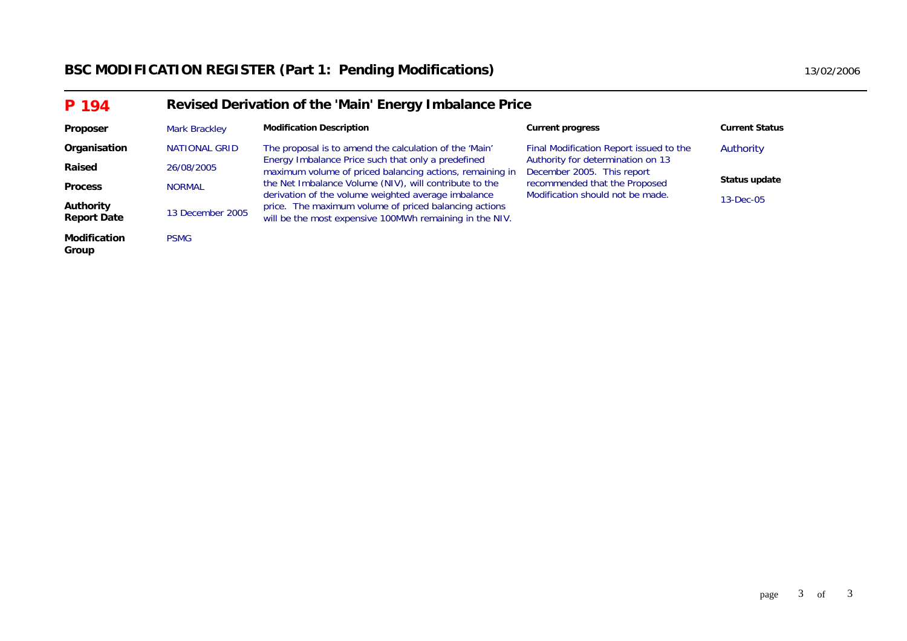| P 194                                  | Revised Derivation of the 'Main' Energy Imbalance Price |                                                                                                                  |                                                                   |                       |
|----------------------------------------|---------------------------------------------------------|------------------------------------------------------------------------------------------------------------------|-------------------------------------------------------------------|-----------------------|
| <b>Proposer</b>                        | Mark Brackley                                           | <b>Modification Description</b>                                                                                  | <b>Current progress</b>                                           | <b>Current Status</b> |
| Organisation                           | <b>NATIONAL GRID</b>                                    | The proposal is to amend the calculation of the 'Main'                                                           | Final Modification Report issued to the                           | Authority             |
| Raised                                 | 26/08/2005                                              | Energy Imbalance Price such that only a predefined<br>maximum volume of priced balancing actions, remaining in   | Authority for determination on 13<br>December 2005. This report   |                       |
| <b>Process</b>                         | <b>NORMAL</b>                                           | the Net Imbalance Volume (NIV), will contribute to the<br>derivation of the volume weighted average imbalance    | recommended that the Proposed<br>Modification should not be made. | Status update         |
| <b>Authority</b><br><b>Report Date</b> | 13 December 2005                                        | price. The maximum volume of priced balancing actions<br>will be the most expensive 100MWh remaining in the NIV. |                                                                   | $13 - Dec - 05$       |
| <b>Modification</b><br>Group           | <b>PSMG</b>                                             |                                                                                                                  |                                                                   |                       |